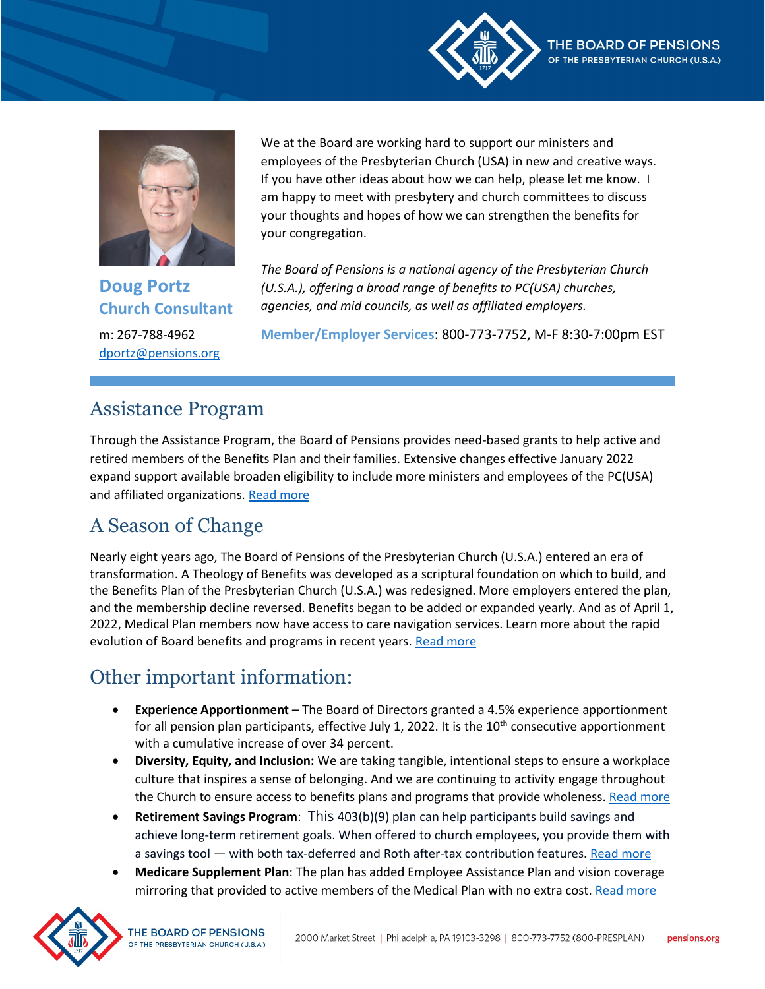



**Doug Portz Church Consultant** m: 267-788-4962 [dportz@pensions.org](mailto:dportz@pensions.org)

We at the Board are working hard to support our ministers and employees of the Presbyterian Church (USA) in new and creative ways. If you have other ideas about how we can help, please let me know. I am happy to meet with presbytery and church committees to discuss your thoughts and hopes of how we can strengthen the benefits for your congregation.

*The Board of Pensions is a national agency of the Presbyterian Church (U.S.A.), offering a broad range of benefits to PC(USA) churches, agencies, and mid councils, as well as affiliated employers.*

**Member/Employer Services**: 800-773-7752, M-F 8:30-7:00pm EST

## Assistance Program

Through the Assistance Program, the Board of Pensions provides need-based grants to help active and retired members of the Benefits Plan and their families. Extensive changes effective January 2022 expand support available broaden eligibility to include more ministers and employees of the PC(USA) and affiliated organizations. [Read more](https://www.pensions.org/your-path-to-wholeness/assistance-program/assistance-program-expansion)

# A Season of Change

Nearly eight years ago, The Board of Pensions of the Presbyterian Church (U.S.A.) entered an era of transformation. A Theology of Benefits was developed as a scriptural foundation on which to build, and the Benefits Plan of the Presbyterian Church (U.S.A.) was redesigned. More employers entered the plan, and the membership decline reversed. Benefits began to be added or expanded yearly. And as of April 1, 2022, Medical Plan members now have access to care navigation services. Learn more about the rapid evolution of Board benefits and programs in recent years. [Read more](https://nam12.safelinks.protection.outlook.com/?url=https%3A%2F%2Fwww.pensions.org%2Four-role-and-purpose%2Fabout-us%2Four-leadership%2Fboard-bulletins%2Fboard-bulletin-spring-2022&data=04%7C01%7CKPierce%40PENSIONS.ORG%7C27608e660aa54277208608da198abf42%7Cd5c2f055da564eb4a6568e01d9ed9ab5%7C0%7C0%7C637850381096974625%7CUnknown%7CTWFpbGZsb3d8eyJWIjoiMC4wLjAwMDAiLCJQIjoiV2luMzIiLCJBTiI6Ik1haWwiLCJXVCI6Mn0%3D%7C3000&sdata=HTU8bOkofXrh7OSH0QG6GxqhXB2buQj7iH9%2BZKbdONc%3D&reserved=0)

# Other important information:

- **Experience Apportionment** The Board of Directors granted a 4.5% experience apportionment for all pension plan participants, effective July 1, 2022. It is the  $10<sup>th</sup>$  consecutive apportionment with a cumulative increase of over 34 percent.
- **Diversity, Equity, and Inclusion:** We are taking tangible, intentional steps to ensure a workplace culture that inspires a sense of belonging. And we are continuing to activity engage throughout the Church to ensure access to benefits plans and programs that provide wholeness[. Read more](https://www.pensions.org/our-role-and-purpose/about-us/our-commitment-to-diversity)
- **Retirement Savings Program**: This 403(b)(9) plan can help participants build savings and achieve long-term retirement goals. When offered to church employees, you provide them with a savings tool — with both tax-deferred and Roth after-tax contribution features[. Read more](https://www.pensions.org/what-we-offer/benefits-guidance/retirement-savings-plan)
- **Medicare Supplement Plan**: The plan has added Employee Assistance Plan and vision coverage mirroring that provided to active members of the Medical Plan with no extra cost. [Read more](https://www.pensions.org/what-we-offer/health/medicare-supplement)